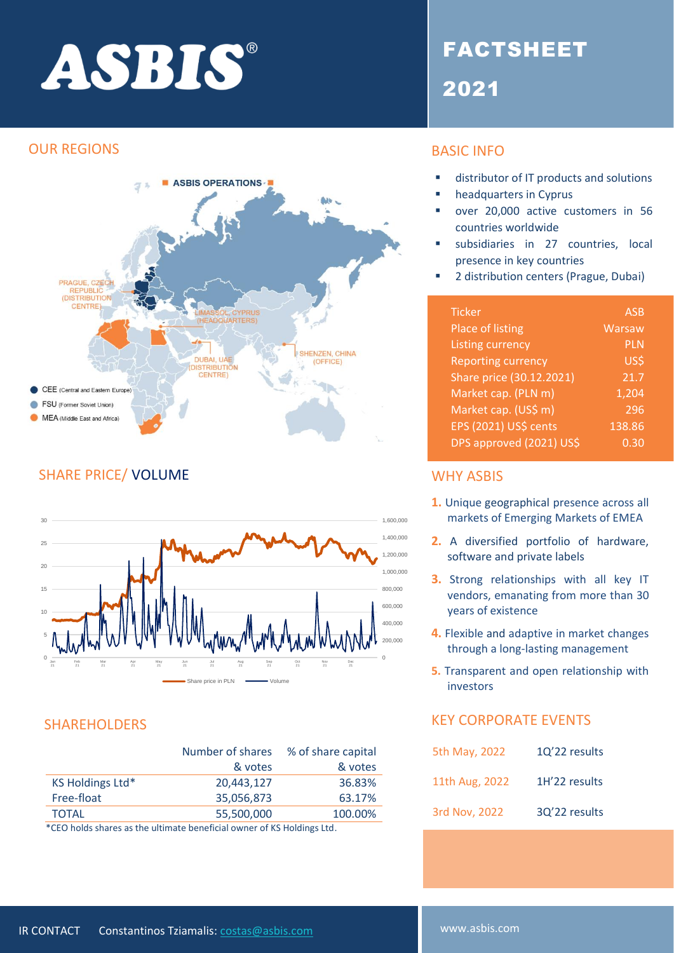# ASBIS®

#### OUR REGIONS



### SHARE PRICE/ VOLUME WHY ASBIS



| Number of shares | % of share capital |
|------------------|--------------------|
| & votes          | & votes            |
| 20.443.127       | 36.83%             |
| 35,056,873       | 63.17%             |
| 55,500,000       | 100.00%            |
|                  |                    |

\*CEO holds shares as the ultimate beneficial owner of KS Holdings Ltd.

## FACTSHEET 2021

### BASIC INFO

- distributor of IT products and solutions
- headquarters in Cyprus
- over 20,000 active customers in 56 countries worldwide
- subsidiaries in 27 countries, local presence in key countries
- 2 distribution centers (Prague, Dubai)

| <b>Ticker</b>             | <b>ASB</b> |
|---------------------------|------------|
| Place of listing          | Warsaw     |
| <b>Listing currency</b>   | <b>PLN</b> |
| <b>Reporting currency</b> | US\$       |
| Share price (30.12.2021)  | 21.7       |
| Market cap. (PLN m)       | 1,204      |
| Market cap. (US\$ m)      | 296        |
| EPS (2021) US\$ cents     | 138.86     |
| DPS approved (2021) US\$  | 0.30       |

- **1.** Unique geographical presence across all markets of Emerging Markets of EMEA
- **2.** A diversified portfolio of hardware, software and private labels
- **3.** Strong relationships with all key IT vendors, emanating from more than 30 years of existence
- **4.** Flexible and adaptive in market changes through a long-lasting management
- **5.** Transparent and open relationship with investors

#### SHAREHOLDERS KEY CORPORATE EVENTS

| 5th May, 2022  | 1Q'22 results |
|----------------|---------------|
| 11th Aug, 2022 | 1H'22 results |
| 3rd Nov, 2022  | 3Q'22 results |